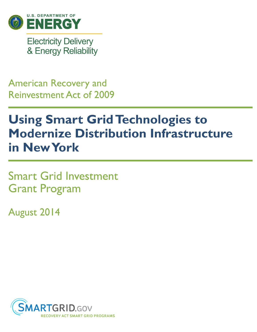

**Electricity Delivery** & Energy Reliability

**American Recovery and Reinvestment Act of 2009** 

# **Using Smart Grid Technologies to Modernize Distribution Infrastructure** in New York

**Smart Grid Investment Grant Program** 

August 2014

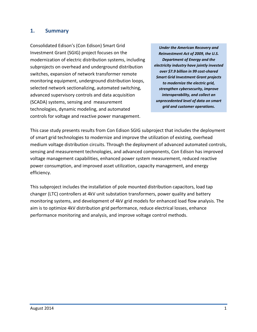#### **1. Summary**

Consolidated Edison's (Con Edison) Smart Grid Investment Grant (SGIG) project focuses on the modernization of electric distribution systems, including subprojects on overhead and underground distribution switches, expansion of network transformer remote monitoring equipment, underground distribution loops, selected network sectionalizing, automated switching, advanced supervisory controls and data acquisition (SCADA) systems, sensing and measurement technologies, dynamic modeling, and automated controls for voltage and reactive power management.

*Under the American Recovery and Reinvestment Act of 2009, the U.S. Department of Energy and the electricity industry have jointly invested over \$7.9 billion in 99 cost-shared Smart Grid Investment Grant projects to modernize the electric grid, strengthen cybersecurity, improve interoperability, and collect an unprecedented level of data on smart grid and customer operations.*

This case study presents results from Con Edison SGIG subproject that includes the deployment of smart grid technologies to modernize and improve the utilization of existing, overhead medium voltage distribution circuits. Through the deployment of advanced automated controls, sensing and measurement technologies, and advanced components, Con Edison has improved voltage management capabilities, enhanced power system measurement, reduced reactive power consumption, and improved asset utilization, capacity management, and energy efficiency.

This subproject includes the installation of pole mounted distribution capacitors, load tap changer (LTC) controllers at 4kV unit substation transformers, power quality and battery monitoring systems, and development of 4kV grid models for enhanced load flow analysis. The aim is to optimize 4kV distribution grid performance, reduce electrical losses, enhance performance monitoring and analysis, and improve voltage control methods.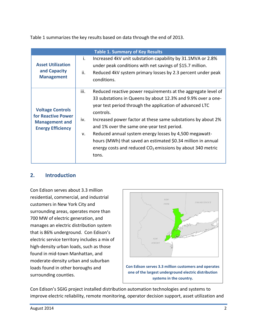Table 1 summarizes the key results based on data through the end of 2013.

| <b>Table 1. Summary of Key Results</b>                                                             |                   |                                                                                                                                                                                                                                                                                                                                                                                                                                                                                                                         |  |  |  |  |
|----------------------------------------------------------------------------------------------------|-------------------|-------------------------------------------------------------------------------------------------------------------------------------------------------------------------------------------------------------------------------------------------------------------------------------------------------------------------------------------------------------------------------------------------------------------------------------------------------------------------------------------------------------------------|--|--|--|--|
| <b>Asset Utilization</b><br>and Capacity<br><b>Management</b>                                      | i.<br>ii.         | Increased 4kV unit substation capability by 31.1MVA or 2.8%<br>under peak conditions with net savings of \$15.7 million.<br>Reduced 4kV system primary losses by 2.3 percent under peak<br>conditions.                                                                                                                                                                                                                                                                                                                  |  |  |  |  |
| <b>Voltage Controls</b><br>for Reactive Power<br><b>Management and</b><br><b>Energy Efficiency</b> | iii.<br>iv.<br>v. | Reduced reactive power requirements at the aggregate level of<br>33 substations in Queens by about 12.3% and 9.9% over a one-<br>year test period through the application of advanced LTC<br>controls.<br>Increased power factor at these same substations by about 2%<br>and 1% over the same one-year test period.<br>Reduced annual system energy losses by 4,500 megawatt-<br>hours (MWh) that saved an estimated \$0.34 million in annual<br>energy costs and reduced $CO2$ emissions by about 340 metric<br>tons. |  |  |  |  |

#### **2. Introduction**

Con Edison serves about 3.3 million residential, commercial, and industrial customers in New York City and surrounding areas, operates more than 700 MW of electric generation, and manages an electric distribution system that is 86% underground. Con Edison's electric service territory includes a mix of high-density urban loads, such as those found in mid-town Manhattan, and moderate-density urban and suburban loads found in other boroughs and surrounding counties.



Con Edison's SGIG project installed distribution automation technologies and systems to improve electric reliability, remote monitoring, operator decision support, asset utilization and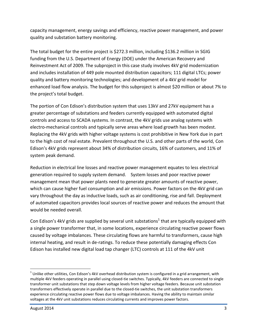capacity management, energy savings and efficiency, reactive power management, and power quality and substation battery monitoring.

The total budget for the entire project is \$272.3 million, including \$136.2 million in SGIG funding from the U.S. Department of Energy (DOE) under the American Recovery and Reinvestment Act of 2009. The subproject in this case study involves 4kV grid modernization and includes installation of 449 pole mounted distribution capacitors; 111 digital LTCs; power quality and battery monitoring technologies; and development of a 4kV grid model for enhanced load flow analysis. The budget for this subproject is almost \$20 million or about 7% to the project's total budget.

The portion of Con Edison's distribution system that uses 13kV and 27kV equipment has a greater percentage of substations and feeders currently equipped with automated digital controls and access to SCADA systems. In contrast, the 4kV grids use analog systems with electro-mechanical controls and typically serve areas where load growth has been modest. Replacing the 4kV grids with higher voltage systems is cost prohibitive in New York due in part to the high cost of real estate. Prevalent throughout the U.S. and other parts of the world, Con Edison's 4kV grids represent about 34% of distribution circuits, 16% of customers, and 11% of system peak demand.

Reduction in electrical line losses and reactive power management equates to less electrical generation required to supply system demand. System losses and poor reactive power management mean that power plants need to generate greater amounts of reactive power, which can cause higher fuel consumption and air emissions. Power factors on the 4kV grid can vary throughout the day as inductive loads, such as air conditioning, rise and fall. Deployment of automated capacitors provides local sources of reactive power and reduces the amount that would be needed overall.

Con Edison's 4kV grids are supplied by several unit substations<sup>1</sup> that are typically equipped with a single power transformer that, in some locations, experience circulating reactive power flows caused by voltage imbalances. These circulating flows are harmful to transformers, cause high internal heating, and result in de-ratings. To reduce these potentially damaging effects Con Edison has installed new digital load tap changer (LTC) controls at 111 of the 4kV unit

 $\overline{a}$  $^1$  Unlike other utilities, Con Edison's 4kV overhead distribution system is configured in a grid arrangement, with multiple 4kV feeders operating in parallel using closed-tie switches. Typically, 4kV feeders are connected to single transformer unit substations that step down voltage levels from higher voltage feeders. Because unit substation transformers effectively operate in parallel due to the closed-tie switches, the unit substation transformers experience circulating reactive power flows due to voltage imbalances. Having the ability to maintain similar voltages at the 4kV unit substations reduces circulating currents and improves power factors.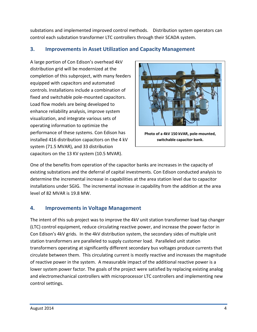substations and implemented improved control methods. Distribution system operators can control each substation transformer LTC controllers through their SCADA system.

### **3. Improvements in Asset Utilization and Capacity Management**

A large portion of Con Edison's overhead 4kV distribution grid will be modernized at the completion of this subproject, with many feeders equipped with capacitors and automated controls. Installations include a combination of fixed and switchable pole-mounted capacitors. Load flow models are being developed to enhance reliability analysis, improve system visualization, and integrate various sets of operating information to optimize the performance of these systems. Con Edison has installed 416 distribution capacitors on the 4 kV system (71.5 MVAR), and 33 distribution capacitors on the 13 KV system (10.5 MVAR).



**Photo of a 4kV 150 kVAR, pole-mounted, switchable capacitor bank.**

One of the benefits from operation of the capacitor banks are increases in the capacity of existing substations and the deferral of capital investments. Con Edison conducted analysis to determine the incremental increase in capabilities at the area station level due to capacitor installations under SGIG. The incremental increase in capability from the addition at the area level of 82 MVAR is 19.8 MW.

#### **4. Improvements in Voltage Management**

The intent of this sub project was to improve the 4kV unit station transformer load tap changer (LTC) control equipment, reduce circulating reactive power, and increase the power factor in Con Edison's 4kV grids. In the 4kV distribution system, the secondary sides of multiple unit station transformers are paralleled to supply customer load. Paralleled unit station transformers operating at significantly different secondary bus voltages produce currents that circulate between them. This circulating current is mostly reactive and increases the magnitude of reactive power in the system. A measurable impact of the additional reactive power is a lower system power factor. The goals of the project were satisfied by replacing existing analog and electromechanical controllers with microprocessor LTC controllers and implementing new control settings.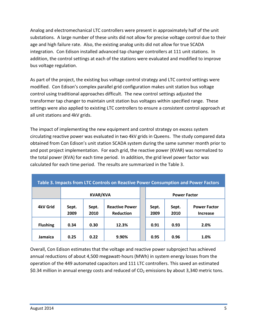Analog and electromechanical LTC controllers were present in approximately half of the unit substations. A large number of these units did not allow for precise voltage control due to their age and high failure rate. Also, the existing analog units did not allow for true SCADA integration. Con Edison installed advanced tap changer controllers at 111 unit stations. In addition, the control settings at each of the stations were evaluated and modified to improve bus voltage regulation.

As part of the project, the existing bus voltage control strategy and LTC control settings were modified. Con Edison's complex parallel grid configuration makes unit station bus voltage control using traditional approaches difficult. The new control settings adjusted the transformer tap changer to maintain unit station bus voltages within specified range. These settings were also applied to existing LTC controllers to ensure a consistent control approach at all unit stations and 4kV grids.

The impact of implementing the new equipment and control strategy on excess system circulating reactive power was evaluated in two 4kV grids in Queens. The study compared data obtained from Con Edison's unit station SCADA system during the same summer month prior to and post project implementation. For each grid, the reactive power (KVAR) was normalized to the total power (KVA) for each time period. In addition, the grid level power factor was calculated for each time period. The results are summarized in the Table 3.

| Table 3. Impacts from LTC Controls on Reactive Power Consumption and Power Factors |                 |               |                                    |  |                     |               |                                        |
|------------------------------------------------------------------------------------|-----------------|---------------|------------------------------------|--|---------------------|---------------|----------------------------------------|
|                                                                                    | <b>KVAR/KVA</b> |               |                                    |  | <b>Power Factor</b> |               |                                        |
| <b>4kV Grid</b>                                                                    | Sept.<br>2009   | Sept.<br>2010 | <b>Reactive Power</b><br>Reduction |  | Sept.<br>2009       | Sept.<br>2010 | <b>Power Factor</b><br><b>Increase</b> |
| <b>Flushing</b>                                                                    | 0.34            | 0.30          | 12.3%                              |  | 0.91                | 0.93          | 2.0%                                   |
| Jamaica                                                                            | 0.25            | 0.22          | 9.90%                              |  | 0.95                | 0.96          | 1.0%                                   |

Overall, Con Edison estimates that the voltage and reactive power subproject has achieved annual reductions of about 4,500 megawatt-hours (MWh) in system energy losses from the operation of the 449 automated capacitors and 111 LTC controllers. This saved an estimated \$0.34 million in annual energy costs and reduced of  $CO<sub>2</sub>$  emissions by about 3,340 metric tons.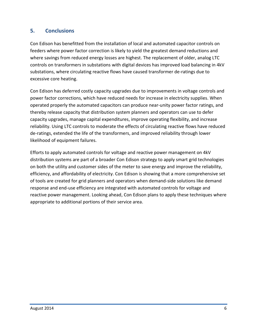### **5. Conclusions**

Con Edison has benefitted from the installation of local and automated capacitor controls on feeders where power factor correction is likely to yield the greatest demand reductions and where savings from reduced energy losses are highest. The replacement of older, analog LTC controls on transformers in substations with digital devices has improved load balancing in 4kV substations, where circulating reactive flows have caused transformer de-ratings due to excessive core heating.

Con Edison has deferred costly capacity upgrades due to improvements in voltage controls and power factor corrections, which have reduced needs for increase in electricity supplies. When operated properly the automated capacitors can produce near-unity power factor ratings, and thereby release capacity that distribution system planners and operators can use to defer capacity upgrades, manage capital expenditures, improve operating flexibility, and increase reliability. Using LTC controls to moderate the effects of circulating reactive flows have reduced de-ratings, extended the life of the transformers, and improved reliability through lower likelihood of equipment failures.

Efforts to apply automated controls for voltage and reactive power management on 4kV distribution systems are part of a broader Con Edison strategy to apply smart grid technologies on both the utility and customer sides of the meter to save energy and improve the reliability, efficiency, and affordability of electricity. Con Edison is showing that a more comprehensive set of tools are created for grid planners and operators when demand-side solutions like demand response and end-use efficiency are integrated with automated controls for voltage and reactive power management. Looking ahead, Con Edison plans to apply these techniques where appropriate to additional portions of their service area.